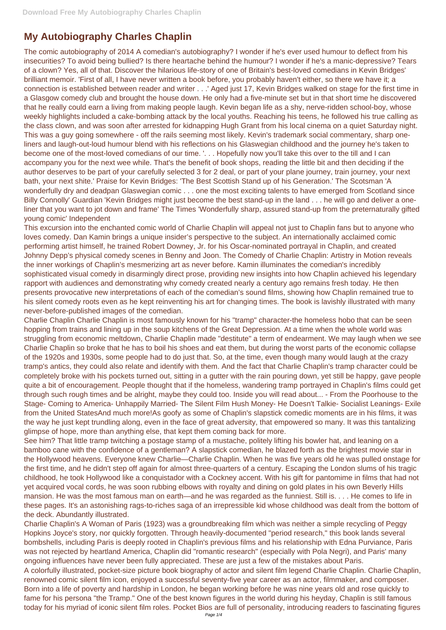## **My Autobiography Charles Chaplin**

The comic autobiography of 2014 A comedian's autobiography? I wonder if he's ever used humour to deflect from his insecurities? To avoid being bullied? Is there heartache behind the humour? I wonder if he's a manic-depressive? Tears of a clown? Yes, all of that. Discover the hilarious life-story of one of Britain's best-loved comedians in Kevin Bridges' brilliant memoir. 'First of all, I have never written a book before, you probably haven't either, so there we have it; a connection is established between reader and writer . . .' Aged just 17, Kevin Bridges walked on stage for the first time in a Glasgow comedy club and brought the house down. He only had a five-minute set but in that short time he discovered that he really could earn a living from making people laugh. Kevin began life as a shy, nerve-ridden school-boy, whose weekly highlights included a cake-bombing attack by the local youths. Reaching his teens, he followed his true calling as the class clown, and was soon after arrested for kidnapping Hugh Grant from his local cinema on a quiet Saturday night. This was a guy going somewhere - off the rails seeming most likely. Kevin's trademark social commentary, sharp oneliners and laugh-out-loud humour blend with his reflections on his Glaswegian childhood and the journey he's taken to become one of the most-loved comedians of our time. '. . . Hopefully now you'll take this over to the till and I can accompany you for the next wee while. That's the benefit of book shops, reading the little bit and then deciding if the author deserves to be part of your carefully selected 3 for 2 deal, or part of your plane journey, train journey, your next bath, your next shite.' Praise for Kevin Bridges: 'The Best Scottish Stand up of his Generation.' The Scotsman 'A wonderfully dry and deadpan Glaswegian comic . . . one the most exciting talents to have emerged from Scotland since Billy Connolly' Guardian 'Kevin Bridges might just become the best stand-up in the land . . . he will go and deliver a oneliner that you want to jot down and frame' The Times 'Wonderfully sharp, assured stand-up from the preternaturally gifted young comic' Independent

This excursion into the enchanted comic world of Charlie Chaplin will appeal not just to Chaplin fans but to anyone who loves comedy. Dan Kamin brings a unique insider's perspective to the subject. An internationally acclaimed comic performing artist himself, he trained Robert Downey, Jr. for his Oscar-nominated portrayal in Chaplin, and created Johnny Depp's physical comedy scenes in Benny and Joon. The Comedy of Charlie Chaplin: Artistry in Motion reveals the inner workings of Chaplin's mesmerizing art as never before. Kamin illuminates the comedian's incredibly sophisticated visual comedy in disarmingly direct prose, providing new insights into how Chaplin achieved his legendary rapport with audiences and demonstrating why comedy created nearly a century ago remains fresh today. He then presents provocative new interpretations of each of the comedian's sound films, showing how Chaplin remained true to his silent comedy roots even as he kept reinventing his art for changing times. The book is lavishly illustrated with many never-before-published images of the comedian.

Charlie Chaplin Charlie Chaplin is most famously known for his "tramp" character-the homeless hobo that can be seen hopping from trains and lining up in the soup kitchens of the Great Depression. At a time when the whole world was struggling from economic meltdown, Charlie Chaplin made "destitute" a term of endearment. We may laugh when we see Charlie Chaplin so broke that he has to boil his shoes and eat them, but during the worst parts of the economic collapse of the 1920s and 1930s, some people had to do just that. So, at the time, even though many would laugh at the crazy tramp's antics, they could also relate and identify with them. And the fact that Charlie Chaplin's tramp character could be completely broke with his pockets turned out, sitting in a gutter with the rain pouring down, yet still be happy, gave people quite a bit of encouragement. People thought that if the homeless, wandering tramp portrayed in Chaplin's films could get through such rough times and be alright, maybe they could too. Inside you will read about... - From the Poorhouse to the Stage- Coming to America- Unhappily Married- The Silent Film Hush Money- He Doesn't Talkie- Socialist Leanings- Exile from the United StatesAnd much more!As goofy as some of Chaplin's slapstick comedic moments are in his films, it was the way he just kept trundling along, even in the face of great adversity, that empowered so many. It was this tantalizing glimpse of hope, more than anything else, that kept them coming back for more.

See him? That little tramp twitching a postage stamp of a mustache, politely lifting his bowler hat, and leaning on a bamboo cane with the confidence of a gentleman? A slapstick comedian, he blazed forth as the brightest movie star in the Hollywood heavens. Everyone knew Charlie—Charlie Chaplin. When he was five years old he was pulled onstage for the first time, and he didn't step off again for almost three-quarters of a century. Escaping the London slums of his tragic childhood, he took Hollywood like a conquistador with a Cockney accent. With his gift for pantomime in films that had not yet acquired vocal cords, he was soon rubbing elbows with royalty and dining on gold plates in his own Beverly Hills mansion. He was the most famous man on earth—and he was regarded as the funniest. Still is. . . . He comes to life in these pages. It's an astonishing rags-to-riches saga of an irrepressible kid whose childhood was dealt from the bottom of the deck. Abundantly illustrated. Charlie Chaplin's A Woman of Paris (1923) was a groundbreaking film which was neither a simple recycling of Peggy Hopkins Joyce's story, nor quickly forgotten. Through heavily-documented "period research," this book lands several bombshells, including Paris is deeply rooted in Chaplin's previous films and his relationship with Edna Purviance, Paris was not rejected by heartland America, Chaplin did "romantic research" (especially with Pola Negri), and Paris' many ongoing influences have never been fully appreciated. These are just a few of the mistakes about Paris. A colorfully illustrated, pocket-size picture book biography of actor and silent film legend Charlie Chaplin. Charlie Chaplin, renowned comic silent film icon, enjoyed a successful seventy-five year career as an actor, filmmaker, and composer. Born into a life of poverty and hardship in London, he began working before he was nine years old and rose quickly to fame for his persona "the Tramp." One of the best known figures in the world during his heyday, Chaplin is still famous today for his myriad of iconic silent film roles. Pocket Bios are full of personality, introducing readers to fascinating figures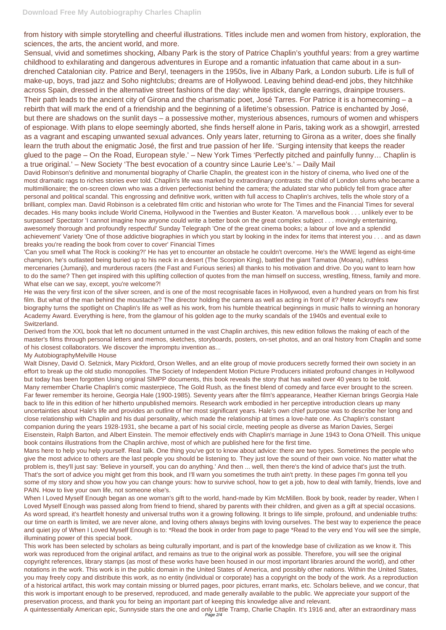from history with simple storytelling and cheerful illustrations. Titles include men and women from history, exploration, the sciences, the arts, the ancient world, and more.

Sensual, vivid and sometimes shocking, Albany Park is the story of Patrice Chaplin's youthful years: from a grey wartime childhood to exhilarating and dangerous adventures in Europe and a romantic infatuation that came about in a sundrenched Catalonian city. Patrice and Beryl, teenagers in the 1950s, live in Albany Park, a London suburb. Life is full of make-up, boys, trad jazz and Soho nightclubs; dreams are of Hollywood. Leaving behind dead-end jobs, they hitchhike across Spain, dressed in the alternative street fashions of the day: white lipstick, dangle earrings, drainpipe trousers. Their path leads to the ancient city of Girona and the charismatic poet, José Tarres. For Patrice it is a homecoming – a rebirth that will mark the end of a friendship and the beginning of a lifetime's obsession. Patrice is enchanted by José, but there are shadows on the sunlit days – a possessive mother, mysterious absences, rumours of women and whispers of espionage. With plans to elope seemingly aborted, she finds herself alone in Paris, taking work as a showgirl, arrested as a vagrant and escaping unwanted sexual advances. Only years later, returning to Girona as a writer, does she finally learn the truth about the enigmatic José, the first and true passion of her life. 'Surging intensity that keeps the reader glued to the page – On the Road, European style.' – New York Times 'Perfectly pitched and painfully funny… Chaplin is a true original.' – New Society 'The best evocation of a country since Laurie Lee's.' – Daily Mail

David Robinson's definitive and monumental biography of Charlie Chaplin, the greatest icon in the history of cinema, who lived one of the most dramatic rags to riches stories ever told. Chaplin's life was marked by extraordinary contrasts: the child of London slums who became a multimillionaire; the on-screen clown who was a driven perfectionist behind the camera; the adulated star who publicly fell from grace after personal and political scandal. This engrossing and definitive work, written with full access to Chaplin's archives, tells the whole story of a brilliant, complex man. David Robinson is a celebrated film critic and historian who wrote for The Times and the Financial Times for several decades. His many books include World Cinema, Hollywood in the Twenties and Buster Keaton. 'A marvellous book . . . unlikely ever to be surpassed' Spectator 'I cannot imagine how anyone could write a better book on the great complex subject . . . movingly entertaining, awesomely thorough and profoundly respectful' Sunday Telegraph 'One of the great cinema books; a labour of love and a splendid achievement' Variety 'One of those addictive biographies in which you start by looking in the index for items that interest you . . . and as dawn breaks you're reading the book from cover to cover' Financial Times

'Can you smell what The Rock is cooking?!' He has yet to encounter an obstacle he couldn't overcome. He's the WWE legend as eight-time champion, he's outlasted being buried up to his neck in a desert (The Scorpion King), battled the giant Tamatoa (Moana), ruthless mercenaries (Jumanji), and murderous racers (the Fast and Furious series) all thanks to his motivation and drive. Do you want to learn how to do the same? Then get inspired with this uplifting collection of quotes from the man himself on success, wrestling, fitness, family and more. What else can we say, except, you're welcome?!

He was the very first icon of the silver screen, and is one of the most recognisable faces in Hollywood, even a hundred years on from his first film. But what of the man behind the moustache? The director holding the camera as well as acting in front of it? Peter Ackroyd's new biography turns the spotlight on Chaplin's life as well as his work, from his humble theatrical beginnings in music halls to winning an honorary Academy Award. Everything is here, from the glamour of his golden age to the murky scandals of the 1940s and eventual exile to Switzerland.

Derived from the XXL book that left no document unturned in the vast Chaplin archives, this new edition follows the making of each of the master's films through personal letters and memos, sketches, storyboards, posters, on-set photos, and an oral history from Chaplin and some of his closest collaborators. We discover the impromptu invention as...

My AutobiographyMelville House

Walt Disney, David O. Selznick, Mary Pickford, Orson Welles, and an elite group of movie producers secretly formed their own society in an effort to break up the old studio monopolies. The Society of Independent Motion Picture Producers initiated profound changes in Hollywood but today has been forgotten Using original SlMPP documents, this book reveals the story that has waited over 40 years to be told. Many remember Charlie Chaplin's comic masterpiece, The Gold Rush, as the finest blend of comedy and farce ever brought to the screen. Far fewer remember its heroine, Georgia Hale (1900-1985). Seventy years after the film's appearance, Heather Kiernan brings Georgia Hale back to life in this edition of her hitherto unpublished memoirs. Research work embodied in her perceptive introduction clears up many uncertainties about Hale's life and provides an outline of her most significant years. Hale's own chief purpose was to describe her long and close relationship with Chaplin and his dual personality, which made the relationship at times a love-hate one. As Chaplin's constant companion during the years 1928-1931, she became a part of his social circle, meeting people as diverse as Marion Davies, Sergei Eisenstein, Ralph Barton, and Albert Einstein. The memoir effectively ends with Chaplin's marriage in June 1943 to Oona O'Neill. This unique book contains illustrations from the Chaplin archive, most of which are published here for the first time.

Mans here to help you help yourself. Real talk. One thing you've got to know about advice: there are two types. Sometimes the people who give the most advice to others are the last people you should be listening to. They just love the sound of their own voice. No matter what the problem is, they'll just say: 'Believe in yourself, you can do anything.' And then ... well, then there's the kind of advice that's just the truth. That's the sort of advice you might get from this book, and I'll warn you sometimes the truth ain't pretty. In these pages I'm gonna tell you some of my story and show you how you can change yours: how to survive school, how to get a job, how to deal with family, friends, love and PAIN. How to live your own life, not someone else's. When I Loved Myself Enough began as one woman's gift to the world, hand-made by Kim McMillen. Book by book, reader by reader, When I Loved Myself Enough was passed along from friend to friend, shared by parents with their children, and given as a gift at special occasions. As word spread, it's heartfelt honesty and universal truths won it a growing following. It brings to life simple, profound, and undeniable truths: our time on earth is limited, we are never alone, and loving others always begins with loving ourselves. The best way to experience the peace and quiet joy of When I Loved Myself Enough is to: \*Read the book in order from page to page \*Read to the very end You will see the simple, illuminating power of this special book. This work has been selected by scholars as being culturally important, and is part of the knowledge base of civilization as we know it. This work was reproduced from the original artifact, and remains as true to the original work as possible. Therefore, you will see the original copyright references, library stamps (as most of these works have been housed in our most important libraries around the world), and other notations in the work. This work is in the public domain in the United States of America, and possibly other nations. Within the United States, you may freely copy and distribute this work, as no entity (individual or corporate) has a copyright on the body of the work. As a reproduction of a historical artifact, this work may contain missing or blurred pages, poor pictures, errant marks, etc. Scholars believe, and we concur, that this work is important enough to be preserved, reproduced, and made generally available to the public. We appreciate your support of the preservation process, and thank you for being an important part of keeping this knowledge alive and relevant. A quintessentially American epic, Sunnyside stars the one and only Little Tramp, Charlie Chaplin. It's 1916 and, after an extraordinary mass Page 2/4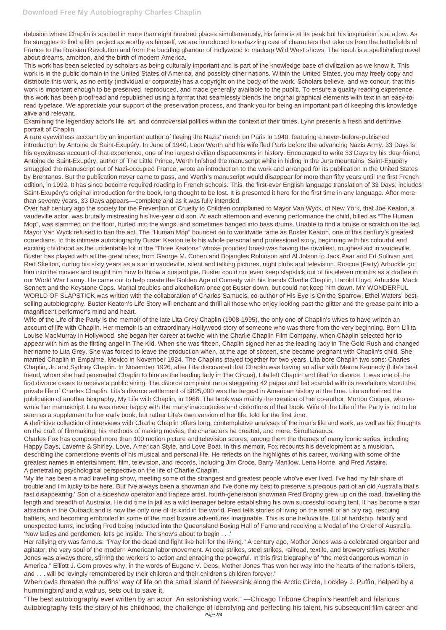delusion where Chaplin is spotted in more than eight hundred places simultaneously, his fame is at its peak but his inspiration is at a low. As he struggles to find a film project as worthy as himself, we are introduced to a dazzling cast of characters that take us from the battlefields of France to the Russian Revolution and from the budding glamour of Hollywood to madcap Wild West shows. The result is a spellbinding novel about dreams, ambition, and the birth of modern America.

This work has been selected by scholars as being culturally important and is part of the knowledge base of civilization as we know it. This work is in the public domain in the United States of America, and possibly other nations. Within the United States, you may freely copy and distribute this work, as no entity (individual or corporate) has a copyright on the body of the work. Scholars believe, and we concur, that this work is important enough to be preserved, reproduced, and made generally available to the public. To ensure a quality reading experience, this work has been proofread and republished using a format that seamlessly blends the original graphical elements with text in an easy-toread typeface. We appreciate your support of the preservation process, and thank you for being an important part of keeping this knowledge alive and relevant.

Examining the legendary actor's life, art, and controversial politics within the context of their times, Lynn presents a fresh and definitive portrait of Chaplin.

A rare eyewitness account by an important author of fleeing the Nazis' march on Paris in 1940, featuring a never-before-published introduction by Antoine de Saint-Exupéry. In June of 1940, Leon Werth and his wife fled Paris before the advancing Nazis Army. 33 Days is his eyewitness account of that experience, one of the largest civilian dispacements in history. Encouraged to write 33 Days by his dear friend, Antoine de Saint-Exupéry, author of The Little Prince, Werth finished the manuscript while in hiding in the Jura mountains. Saint-Exupéry smuggled the manuscript out of Nazi-occupied France, wrote an introduction to the work and arranged for its publication in the United States by Brentanos. But the publication never came to pass, and Werth's manuscript would disappear for more than fifty years until the first French edition, in 1992. It has since become required reading in French schools. This, the first-ever English language translation of 33 Days, includes Saint-Exupéry's original introduction for the book, long thought to be lost. It is presented it here for the first time in any language. After more than seventy years, 33 Days appears—complete and as it was fully intended.

Over half century ago the society for the Prevention of Cruelty to Children complained to Mayor Van Wyck, of New York, that Joe Keaton, a vaudeville actor, was brutally mistreating his five-year old son. At each afternoon and evening performance the child, billed as "The Human Mop", was slammed on the floor, hurled into the wings, and sometimes banged into bass drums. Unable to find a bruise or scratch on the lad, Mayor Van Wyck refused to ban the act. The "Human Mop" bounced on to worldwide fame as Buster Keaton, one of this century's greatest comedians. In this intimate autobiography Buster Keaton tells his whole personal and professional story, beginning with his colourful and exciting childhood as the undentable tot in the "Three Keatons" whose proudest boast was having the rowdiest, roughest act in vaudeville. Buster has played with all the great ones, from George M. Cohen and Bojangles Robinson and Al Jolson to Jack Paar and Ed Sullivan and Red Skelton, during his sixty years as a star in vaudeville, silent and talking pictures, night clubs and television. Roscoe (Fatty) Arbuckle got him into the movies and taught him how to throw a custard pie. Buster could not even keep slapstick out of his eleven months as a draftee in our World War I army. He came out to help create the Golden Age of Comedy with his friends Charlie Chaplin, Harold Lloyd, Arbuckle, Mack Sennett and the Keystone Cops. Marital troubles and alcoholism once got Buster down, but could not keep him down. MY WONDERFUL WORLD OF SLAPSTICK was written with the collaboration of Charles Samuels, co-author of His Eye Is On the Sparrow, Ethel Waters' bestselling autobiography. Buster Keaton's Life Story will enchant and thrill all those who enjoy looking past the glitter and the grease paint into a magnificent performer's mind and heart.

Wife of the Life of the Party is the memoir of the late Lita Grey Chaplin (1908-1995), the only one of Chaplin's wives to have written an account of life with Chaplin. Her memoir is an extraordinary Hollywood story of someone who was there from the very beginning. Born Lillita Louise MacMurray in Hollywood, she began her career at twelve with the Charlie Chaplin Film Company, when Chaplin selected her to appear with him as the flirting angel in The Kid. When she was fifteen, Chaplin signed her as the leading lady in The Gold Rush and changed her name to Lita Grey. She was forced to leave the production when, at the age of sixteen, she became pregnant with Chaplin's child. She married Chaplin in Empalme, Mexico in November 1924. The Chaplins stayed together for two years. Lita bore Chaplin two sons: Charles Chaplin, Jr. and Sydney Chaplin. In November 1926, after Lita discovered that Chaplin was having an affair with Merna Kennedy (Lita's best friend, whom she had persuaded Chaplin to hire as the leading lady in The Circus), Lita left Chaplin and filed for divorce. It was one of the first divorce cases to receive a public airing. The divorce complaint ran a staggering 42 pages and fed scandal with its revelations about the private life of Charles Chaplin. Lita's divorce settlement of \$825,000 was the largest in American history at the time. Lita authorized the publication of another biography, My Life with Chaplin, in 1966. The book was mainly the creation of her co-author, Morton Cooper, who rewrote her manuscript. Lita was never happy with the many inaccuracies and distortions of that book. Wife of the Life of the Party is not to be seen as a supplement to her early book, but rather Lita's own version of her life, told for the first time.

A definitive collection of interviews with Charlie Chaplin offers long, contemplative analyses of the man's life and work, as well as his thoughts on the craft of filmmaking, his methods of making movies, the characters he created, and more. Simultaneous.

Charles Fox has composed more than 100 motion picture and television scores, among them the themes of many iconic series, including Happy Days, Laverne & Shirley, Love, American Style, and Love Boat. In this memoir, Fox recounts his development as a musician, describing the cornerstone events of his musical and personal life. He reflects on the highlights of his career, working with some of the greatest names in entertainment, film, television, and records, including Jim Croce, Barry Manilow, Lena Horne, and Fred Astaire. A penetrating psychological perspective on the life of Charlie Chaplin.

'My life has been a mad travelling show, meeting some of the strangest and greatest people who've ever lived. I've had my fair share of trouble and I'm lucky to be here. But I've always been a showman and I've done my best to preserve a precious part of an old Australia that's fast disappearing.' Son of a sideshow operator and trapeze artist, fourth-generation showman Fred Brophy grew up on the road, travelling the length and breadth of Australia. He did time in jail as a wild teenager before establishing his own successful boxing tent. It has become a star attraction in the Outback and is now the only one of its kind in the world. Fred tells stories of living on the smell of an oily rag, rescuing battlers, and becoming embroiled in some of the most bizarre adventures imaginable. This is one helluva life, full of hardship, hilarity and unexpected turns, including Fred being inducted into the Queensland Boxing Hall of Fame and receiving a Medal of the Order of Australia. 'Now ladies and gentlemen, let's go inside. The show's about to begin . . .'

Her rallying cry was famous: "Pray for the dead and fight like hell for the living." A century ago, Mother Jones was a celebrated organizer and agitator, the very soul of the modern American labor movement. At coal strikes, steel strikes, railroad, textile, and brewery strikes, Mother Jones was always there, stirring the workers to action and enraging the powerful. In this first biography of "the most dangerous woman in America," Elliott J. Gorn proves why, in the words of Eugene V. Debs, Mother Jones "has won her way into the hearts of the nation's toilers, and . . . will be lovingly remembered by their children and their children's children forever."

When owls threaten the puffins' way of life on the small island of Neversink along the Arctic Circle, Lockley J. Puffin, helped by a hummingbird and a walrus, sets out to save it.

"The best autobiography ever written by an actor. An astonishing work." —Chicago Tribune Chaplin's heartfelt and hilarious autobiography tells the story of his childhood, the challenge of identifying and perfecting his talent, his subsequent film career and